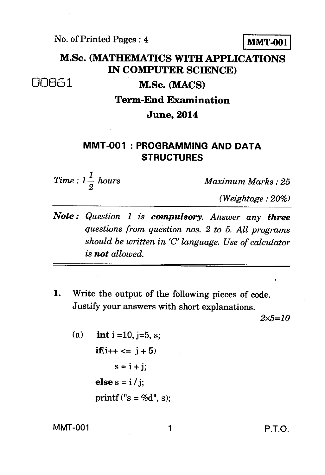No. of Printed Pages : 4 **MMT-001** 

## **M.Sc. (MATHEMATICS WITH APPLICATIONS IN COMPUTER SCIENCE)**

00851 **M.Sc. (MACS)** 

**Term-End Examination** 

**June, 2014** 

## **MMT-001 : PROGRAMMING AND DATA STRUCTURES**

*Time :*  $1\frac{1}{2}$  *hours* 

*<sup>2</sup>Maximum Marks : 25* 

*(Weightage : 20%)* 

- *Note : Question 1 is compulsory. Answer any three questions from question nos. 2 to 5. All programs should be written in 'C' language. Use of calculator is not allowed.*
- **1.** Write the output of the following pieces of code. Justify your answers with short explanations.

*2x5=10* 

(a) **int** i = 10, j=5, s;  
\n**if**(i++ 
$$
\le
$$
 j + 5)  
\ns = i + j;  
\n**else** s = i / j;  
\n**print**(''s = %d", s);

MMT-001 1 P.T.O.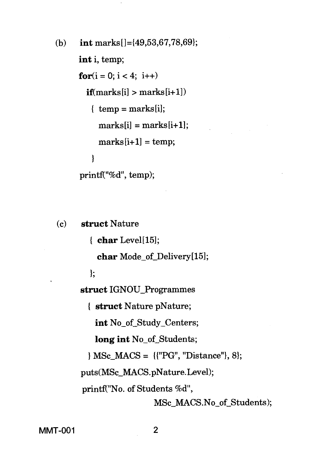(b) int marks  $[-49,53,67,78,69]$ ; int i, temp; for $(i = 0; i < 4; i++)$  $if$ (marks $[i] >$ marks $[i+1]$ )  $\{ \text{temp} = \text{marks}[i] \}$  $marks[i] = marks[i+1]$ ;  $marks[i+1] = temp;$  $\overline{\mathbf{r}}$ printf("%d", temp);

**(c) struct** Nature

**{ char** Level[15];

**char** Mode\_of Delivery[15];

**I;** 

**struct** IGNOU\_Programmes

**struct** Nature pNature;

**int** No\_of Study\_Centers;

**long int** No\_of Students;

MSc\_MACS = {{"PG", "Distance"}, 8};

puts(MSc\_MACS.pNature.Level);

printf("No. of Students %d",

MSc\_MACS.No\_of Students);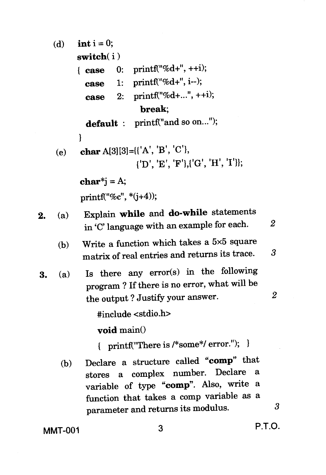$(d)$  **int i** = 0; switch(i)  $printf("%d+",++i);$  $printf("%d+". i--):$ printf("%d+...", ++i); **break; default** : printf("and so on..."); 2. (e) (a) 1 **char** A[3][3]={{'A', 'B', 'C'},  ${'}$ D', 'E', 'F'},{'G', 'H', 'I'}}; char\*i =  $A$ ; printf("%c", \*(i+4)); Explain **while** and do-while statements in 'C' language with an example for each. *2*  (b) Write a function which takes a 5x5 square matrix of real entries and returns its trace. 3 **3.** (a) Is there any error(s) in the following program ? If there is no error, what will be the output ? Justify your answer. *2*  #include <stdio.h> **void** main() { printf("There is /\*some\*/ error."); (b) Declare a structure called **"comp"** that stores a complex number. Declare variable of type **"comp".** Also, write a function that takes a comp variable as a parameter and returns its modulus. 3  $\{ \text{ case } 0: \}$ case 1: case 2:

MMT-001 3 **P.T.O.**